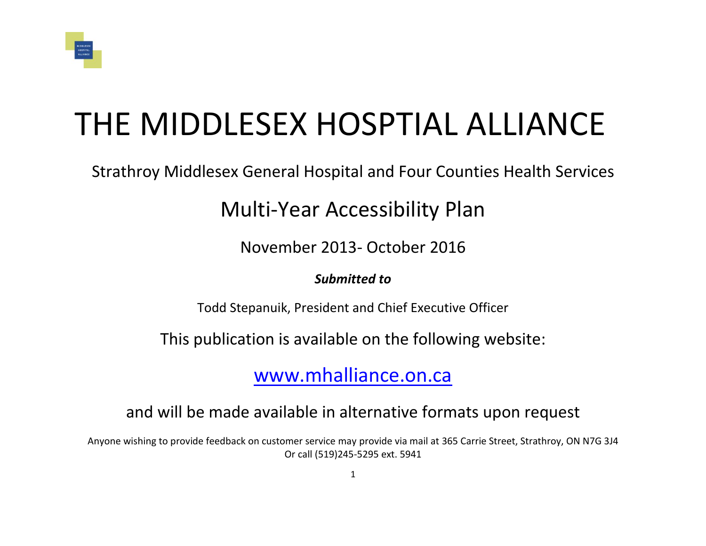

# THE MIDDLESEX HOSPTIAL ALLIANCE

Strathroy Middlesex General Hospital and Four Counties Health Services

# Multi-Year Accessibility Plan

November 2013- October 2016

#### *Submitted to*

Todd Stepanuik, President and Chief Executive Officer

This publication is available on the following website:

[www.mhalliance.on.ca](http://www.mhalliance.on.ca/)

# and will be made available in alternative formats upon request

Anyone wishing to provide feedback on customer service may provide via mail at 365 Carrie Street, Strathroy, ON N7G 3J4 Or call (519)245-5295 ext. 5941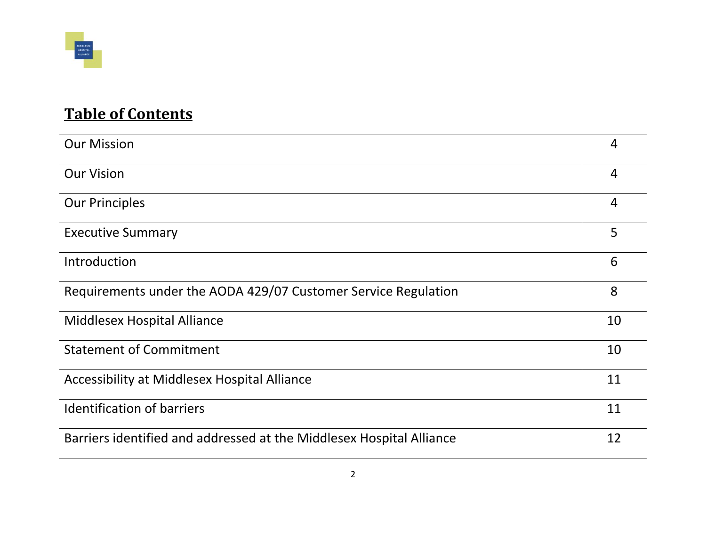

# **Table of Contents**

| <b>Our Mission</b>                                                   | $\overline{4}$ |
|----------------------------------------------------------------------|----------------|
| <b>Our Vision</b>                                                    | $\overline{4}$ |
| <b>Our Principles</b>                                                | $\overline{4}$ |
| <b>Executive Summary</b>                                             | 5              |
| Introduction                                                         | 6              |
| Requirements under the AODA 429/07 Customer Service Regulation       | 8              |
| Middlesex Hospital Alliance                                          | 10             |
| <b>Statement of Commitment</b>                                       | 10             |
| Accessibility at Middlesex Hospital Alliance                         | 11             |
| <b>Identification of barriers</b>                                    | 11             |
| Barriers identified and addressed at the Middlesex Hospital Alliance | 12             |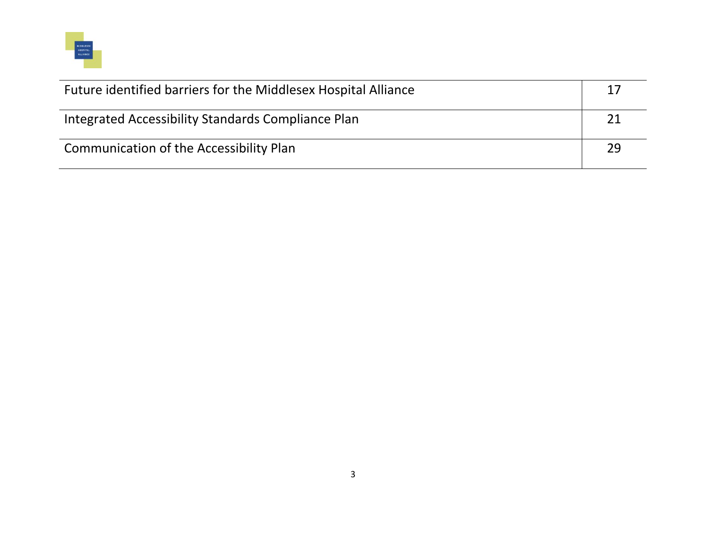

| Future identified barriers for the Middlesex Hospital Alliance | 17 |
|----------------------------------------------------------------|----|
| Integrated Accessibility Standards Compliance Plan             |    |
| Communication of the Accessibility Plan                        | 29 |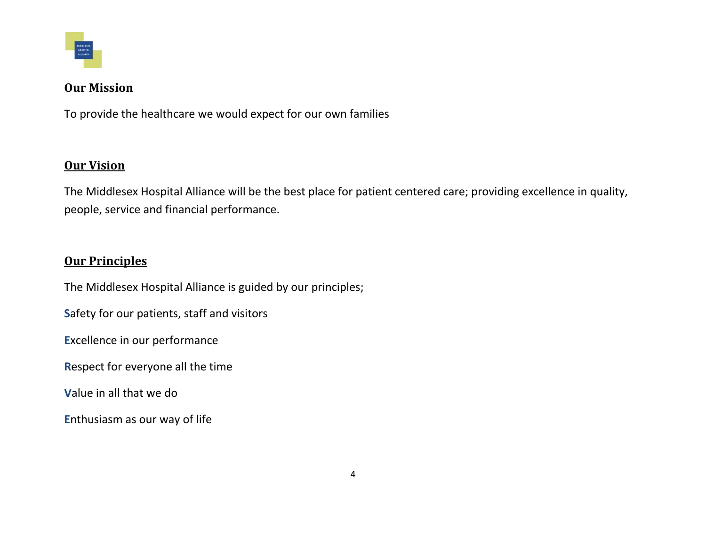

#### **Our Mission**

To provide the healthcare we would expect for our own families

#### **Our Vision**

The Middlesex Hospital Alliance will be the best place for patient centered care; providing excellence in quality, people, service and financial performance.

#### **Our Principles**

The Middlesex Hospital Alliance is guided by our principles;

**S**afety for our patients, staff and visitors

**E**xcellence in our performance

**R**espect for everyone all the time

**V**alue in all that we do

**E**nthusiasm as our way of life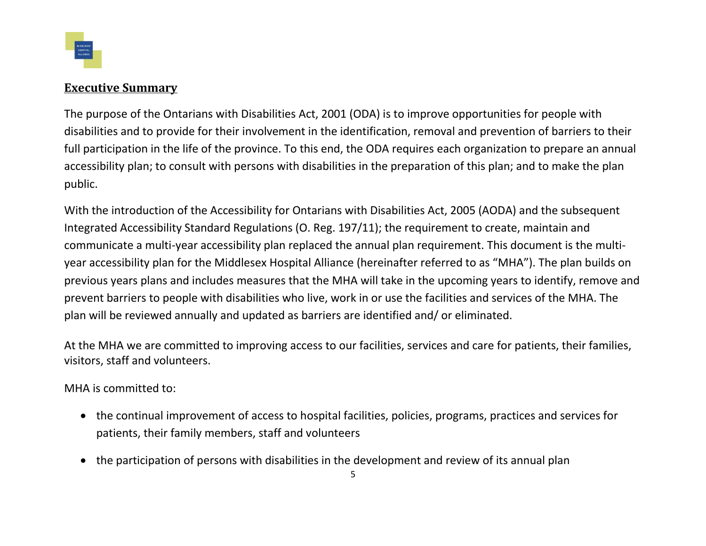

#### **Executive Summary**

The purpose of the Ontarians with Disabilities Act, 2001 (ODA) is to improve opportunities for people with disabilities and to provide for their involvement in the identification, removal and prevention of barriers to their full participation in the life of the province. To this end, the ODA requires each organization to prepare an annual accessibility plan; to consult with persons with disabilities in the preparation of this plan; and to make the plan public.

With the introduction of the Accessibility for Ontarians with Disabilities Act, 2005 (AODA) and the subsequent Integrated Accessibility Standard Regulations (O. Reg. 197/11); the requirement to create, maintain and communicate a multi-year accessibility plan replaced the annual plan requirement. This document is the multiyear accessibility plan for the Middlesex Hospital Alliance (hereinafter referred to as "MHA"). The plan builds on previous years plans and includes measures that the MHA will take in the upcoming years to identify, remove and prevent barriers to people with disabilities who live, work in or use the facilities and services of the MHA. The plan will be reviewed annually and updated as barriers are identified and/ or eliminated.

At the MHA we are committed to improving access to our facilities, services and care for patients, their families, visitors, staff and volunteers.

MHA is committed to:

- the continual improvement of access to hospital facilities, policies, programs, practices and services for patients, their family members, staff and volunteers
- the participation of persons with disabilities in the development and review of its annual plan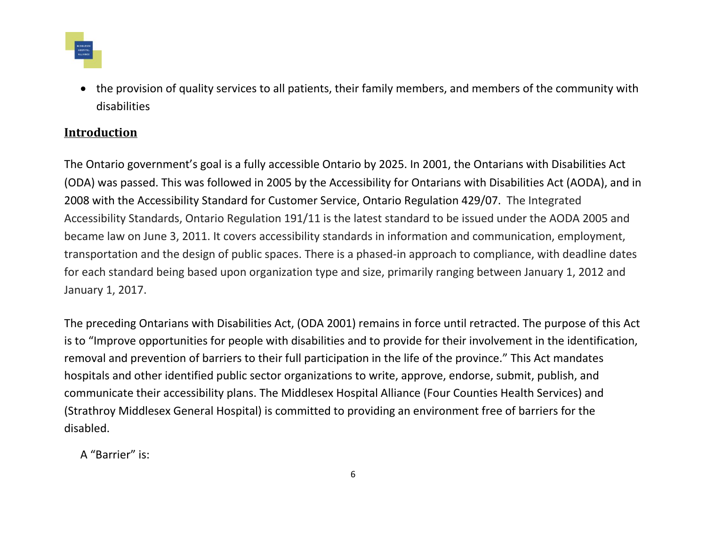

 the provision of quality services to all patients, their family members, and members of the community with disabilities

#### **Introduction**

The Ontario government's goal is a fully accessible Ontario by 2025. In 2001, the Ontarians with Disabilities Act (ODA) was passed. This was followed in 2005 by the Accessibility for Ontarians with Disabilities Act (AODA), and in 2008 with the Accessibility Standard for Customer Service, Ontario Regulation 429/07. The Integrated Accessibility Standards, Ontario Regulation 191/11 is the latest standard to be issued under the AODA 2005 and became law on June 3, 2011. It covers accessibility standards in information and communication, employment, transportation and the design of public spaces. There is a phased-in approach to compliance, with deadline dates for each standard being based upon organization type and size, primarily ranging between January 1, 2012 and January 1, 2017.

The preceding Ontarians with Disabilities Act, (ODA 2001) remains in force until retracted. The purpose of this Act is to "Improve opportunities for people with disabilities and to provide for their involvement in the identification, removal and prevention of barriers to their full participation in the life of the province." This Act mandates hospitals and other identified public sector organizations to write, approve, endorse, submit, publish, and communicate their accessibility plans. The Middlesex Hospital Alliance (Four Counties Health Services) and (Strathroy Middlesex General Hospital) is committed to providing an environment free of barriers for the disabled.

A "Barrier" is: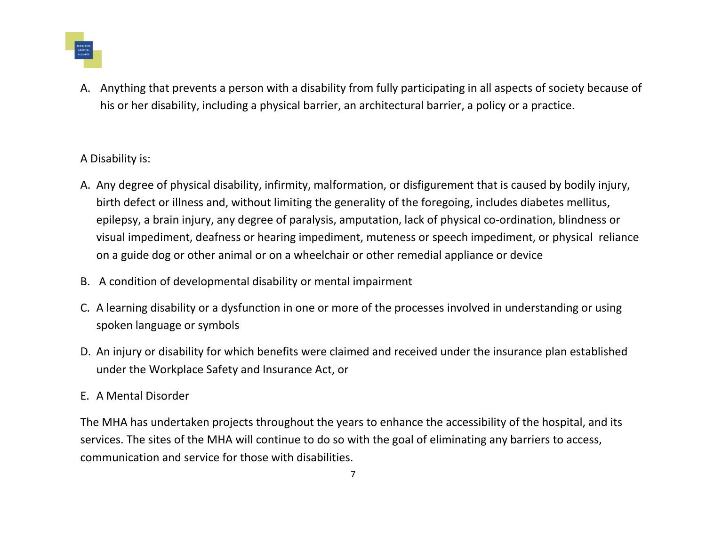

A. Anything that prevents a person with a disability from fully participating in all aspects of society because of his or her disability, including a physical barrier, an architectural barrier, a policy or a practice.

#### A Disability is:

- A. Any degree of physical disability, infirmity, malformation, or disfigurement that is caused by bodily injury, birth defect or illness and, without limiting the generality of the foregoing, includes diabetes mellitus, epilepsy, a brain injury, any degree of paralysis, amputation, lack of physical co-ordination, blindness or visual impediment, deafness or hearing impediment, muteness or speech impediment, or physical reliance on a guide dog or other animal or on a wheelchair or other remedial appliance or device
- B. A condition of developmental disability or mental impairment
- C. A learning disability or a dysfunction in one or more of the processes involved in understanding or using spoken language or symbols
- D. An injury or disability for which benefits were claimed and received under the insurance plan established under the Workplace Safety and Insurance Act, or
- E. A Mental Disorder

The MHA has undertaken projects throughout the years to enhance the accessibility of the hospital, and its services. The sites of the MHA will continue to do so with the goal of eliminating any barriers to access, communication and service for those with disabilities.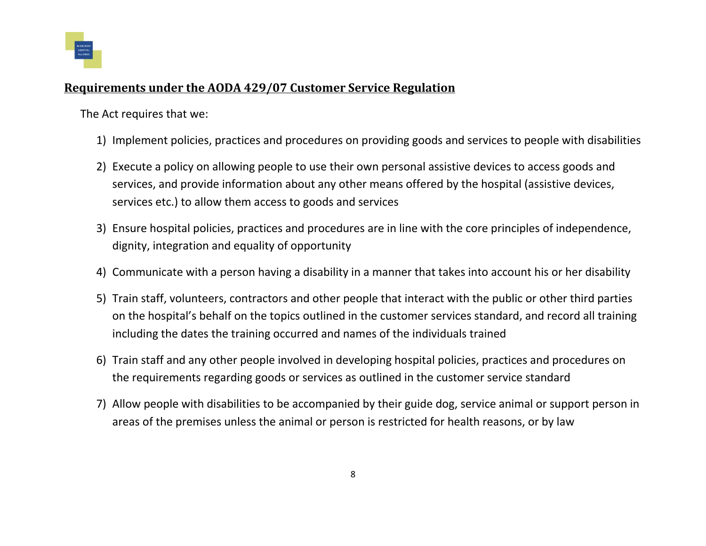

#### **Requirements under the AODA 429/07 Customer Service Regulation**

The Act requires that we:

- 1) Implement policies, practices and procedures on providing goods and services to people with disabilities
- 2) Execute a policy on allowing people to use their own personal assistive devices to access goods and services, and provide information about any other means offered by the hospital (assistive devices, services etc.) to allow them access to goods and services
- 3) Ensure hospital policies, practices and procedures are in line with the core principles of independence, dignity, integration and equality of opportunity
- 4) Communicate with a person having a disability in a manner that takes into account his or her disability
- 5) Train staff, volunteers, contractors and other people that interact with the public or other third parties on the hospital's behalf on the topics outlined in the customer services standard, and record all training including the dates the training occurred and names of the individuals trained
- 6) Train staff and any other people involved in developing hospital policies, practices and procedures on the requirements regarding goods or services as outlined in the customer service standard
- 7) Allow people with disabilities to be accompanied by their guide dog, service animal or support person in areas of the premises unless the animal or person is restricted for health reasons, or by law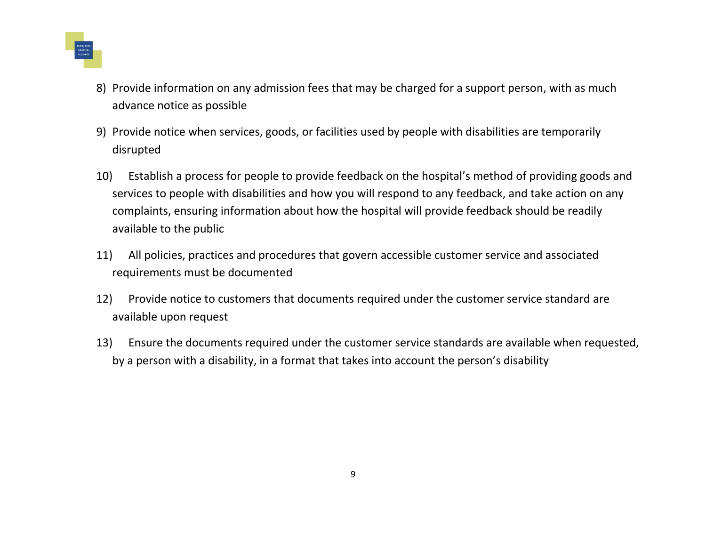

- 8) Provide information on any admission fees that may be charged for a support person, with as much advance notice as possible
- 9) Provide notice when services, goods, or facilities used by people with disabilities are temporarily disrupted
- 10) Establish a process for people to provide feedback on the hospital's method of providing goods and services to people with disabilities and how you will respond to any feedback, and take action on any complaints, ensuring information about how the hospital will provide feedback should be readily available to the public
- 11) All policies, practices and procedures that govern accessible customer service and associated requirements must be documented
- 12) Provide notice to customers that documents required under the customer service standard are available upon request
- 13) Ensure the documents required under the customer service standards are available when requested, by a person with a disability, in a format that takes into account the person's disability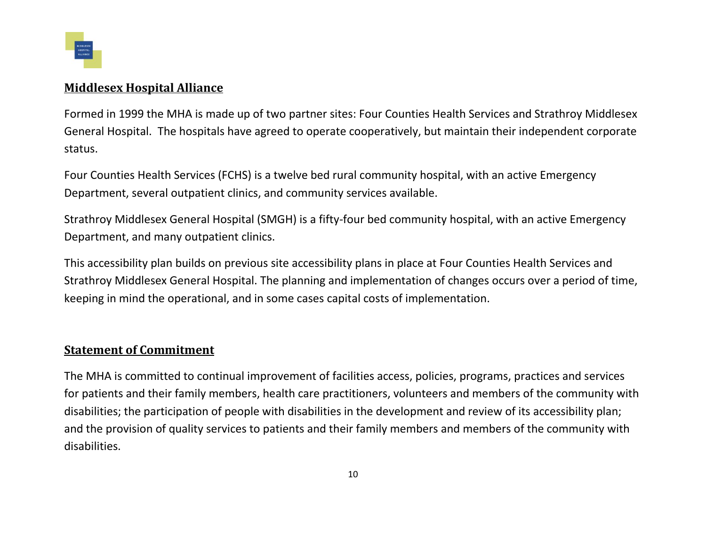

#### **Middlesex Hospital Alliance**

Formed in 1999 the MHA is made up of two partner sites: Four Counties Health Services and Strathroy Middlesex General Hospital. The hospitals have agreed to operate cooperatively, but maintain their independent corporate status.

Four Counties Health Services (FCHS) is a twelve bed rural community hospital, with an active Emergency Department, several outpatient clinics, and community services available.

Strathroy Middlesex General Hospital (SMGH) is a fifty-four bed community hospital, with an active Emergency Department, and many outpatient clinics.

This accessibility plan builds on previous site accessibility plans in place at Four Counties Health Services and Strathroy Middlesex General Hospital. The planning and implementation of changes occurs over a period of time, keeping in mind the operational, and in some cases capital costs of implementation.

#### **Statement of Commitment**

The MHA is committed to continual improvement of facilities access, policies, programs, practices and services for patients and their family members, health care practitioners, volunteers and members of the community with disabilities; the participation of people with disabilities in the development and review of its accessibility plan; and the provision of quality services to patients and their family members and members of the community with disabilities.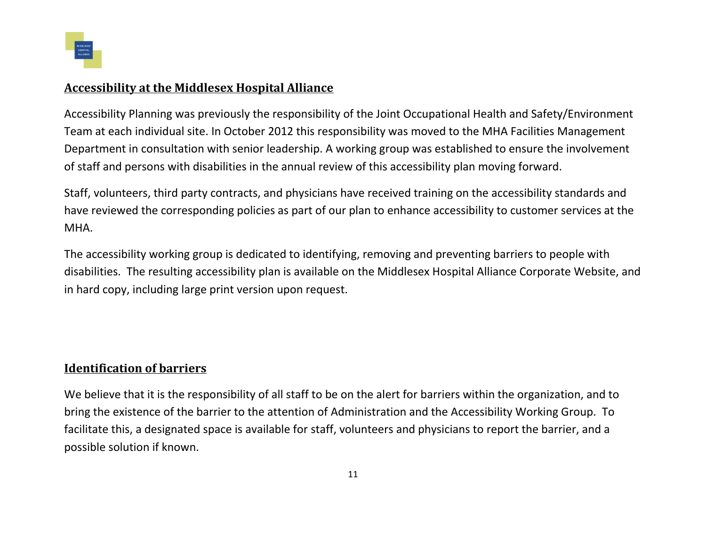

#### **Accessibility at the Middlesex Hospital Alliance**

Accessibility Planning was previously the responsibility of the Joint Occupational Health and Safety/Environment Team at each individual site. In October 2012 this responsibility was moved to the MHA Facilities Management Department in consultation with senior leadership. A working group was established to ensure the involvement of staff and persons with disabilities in the annual review of this accessibility plan moving forward.

Staff, volunteers, third party contracts, and physicians have received training on the accessibility standards and have reviewed the corresponding policies as part of our plan to enhance accessibility to customer services at the MHA.

The accessibility working group is dedicated to identifying, removing and preventing barriers to people with disabilities. The resulting accessibility plan is available on the Middlesex Hospital Alliance Corporate Website, and in hard copy, including large print version upon request.

#### **Identification of barriers**

We believe that it is the responsibility of all staff to be on the alert for barriers within the organization, and to bring the existence of the barrier to the attention of Administration and the Accessibility Working Group. To facilitate this, a designated space is available for staff, volunteers and physicians to report the barrier, and a possible solution if known.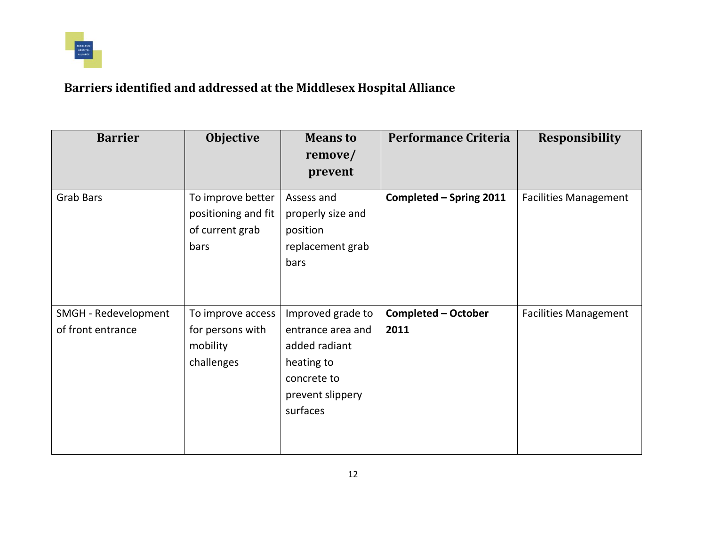

## **Barriers identified and addressed at the Middlesex Hospital Alliance**

| <b>Barrier</b>                            | <b>Objective</b>                                                    | <b>Means to</b><br>remove/<br>prevent                                                                                | <b>Performance Criteria</b>        | <b>Responsibility</b>        |
|-------------------------------------------|---------------------------------------------------------------------|----------------------------------------------------------------------------------------------------------------------|------------------------------------|------------------------------|
| <b>Grab Bars</b>                          | To improve better<br>positioning and fit<br>of current grab<br>bars | Assess and<br>properly size and<br>position<br>replacement grab<br>bars                                              | Completed - Spring 2011            | <b>Facilities Management</b> |
| SMGH - Redevelopment<br>of front entrance | To improve access<br>for persons with<br>mobility<br>challenges     | Improved grade to<br>entrance area and<br>added radiant<br>heating to<br>concrete to<br>prevent slippery<br>surfaces | <b>Completed - October</b><br>2011 | <b>Facilities Management</b> |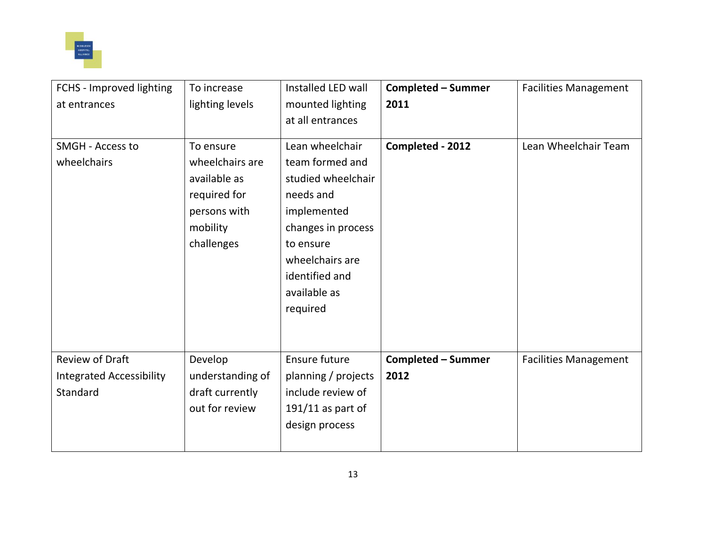

| FCHS - Improved lighting        | To increase      | Installed LED wall  | <b>Completed - Summer</b> | <b>Facilities Management</b> |
|---------------------------------|------------------|---------------------|---------------------------|------------------------------|
| at entrances                    | lighting levels  | mounted lighting    | 2011                      |                              |
|                                 |                  | at all entrances    |                           |                              |
|                                 |                  |                     |                           |                              |
| SMGH - Access to                | To ensure        | Lean wheelchair     | Completed - 2012          | Lean Wheelchair Team         |
| wheelchairs                     | wheelchairs are  | team formed and     |                           |                              |
|                                 | available as     | studied wheelchair  |                           |                              |
|                                 | required for     | needs and           |                           |                              |
|                                 | persons with     | implemented         |                           |                              |
|                                 | mobility         | changes in process  |                           |                              |
|                                 | challenges       | to ensure           |                           |                              |
|                                 |                  | wheelchairs are     |                           |                              |
|                                 |                  | identified and      |                           |                              |
|                                 |                  | available as        |                           |                              |
|                                 |                  | required            |                           |                              |
|                                 |                  |                     |                           |                              |
|                                 |                  |                     |                           |                              |
| <b>Review of Draft</b>          | Develop          | Ensure future       | <b>Completed - Summer</b> | <b>Facilities Management</b> |
| <b>Integrated Accessibility</b> | understanding of | planning / projects | 2012                      |                              |
| Standard                        | draft currently  | include review of   |                           |                              |
|                                 | out for review   | $191/11$ as part of |                           |                              |
|                                 |                  | design process      |                           |                              |
|                                 |                  |                     |                           |                              |
|                                 |                  |                     |                           |                              |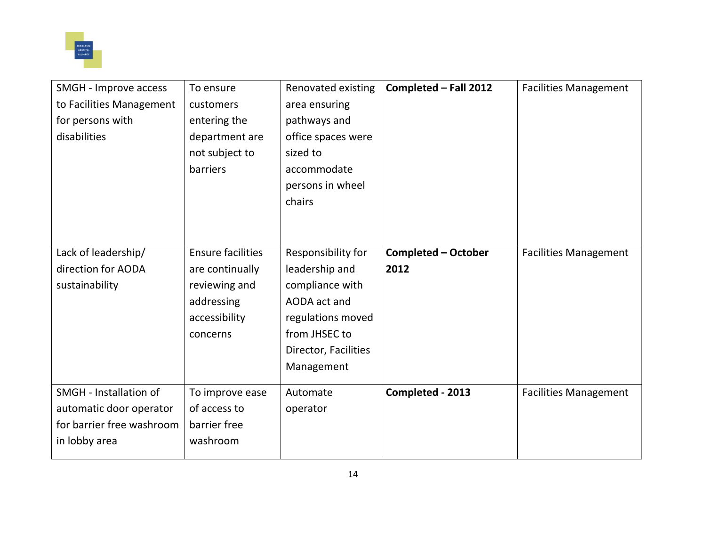

| SMGH - Improve access     | To ensure                | Renovated existing   | Completed - Fall 2012      | <b>Facilities Management</b> |
|---------------------------|--------------------------|----------------------|----------------------------|------------------------------|
| to Facilities Management  | customers                | area ensuring        |                            |                              |
| for persons with          | entering the             | pathways and         |                            |                              |
| disabilities              | department are           | office spaces were   |                            |                              |
|                           | not subject to           | sized to             |                            |                              |
|                           | barriers                 | accommodate          |                            |                              |
|                           |                          | persons in wheel     |                            |                              |
|                           |                          | chairs               |                            |                              |
|                           |                          |                      |                            |                              |
|                           |                          |                      |                            |                              |
| Lack of leadership/       | <b>Ensure facilities</b> | Responsibility for   | <b>Completed - October</b> | <b>Facilities Management</b> |
| direction for AODA        | are continually          | leadership and       | 2012                       |                              |
| sustainability            | reviewing and            | compliance with      |                            |                              |
|                           | addressing               | AODA act and         |                            |                              |
|                           | accessibility            | regulations moved    |                            |                              |
|                           | concerns                 | from JHSEC to        |                            |                              |
|                           |                          | Director, Facilities |                            |                              |
|                           |                          | Management           |                            |                              |
| SMGH - Installation of    | To improve ease          | Automate             | Completed - 2013           | <b>Facilities Management</b> |
| automatic door operator   | of access to             | operator             |                            |                              |
| for barrier free washroom | barrier free             |                      |                            |                              |
| in lobby area             | washroom                 |                      |                            |                              |
|                           |                          |                      |                            |                              |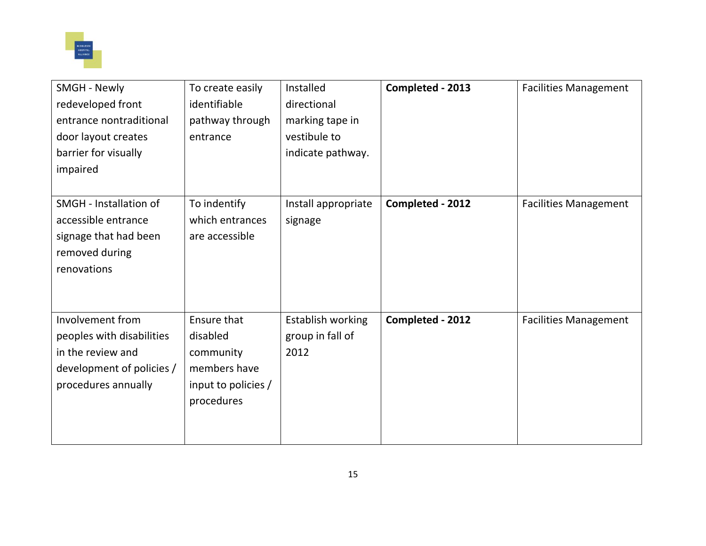

| <b>SMGH - Newly</b>       | To create easily    | Installed           | Completed - 2013 | <b>Facilities Management</b> |
|---------------------------|---------------------|---------------------|------------------|------------------------------|
| redeveloped front         | identifiable        | directional         |                  |                              |
| entrance nontraditional   | pathway through     | marking tape in     |                  |                              |
| door layout creates       | entrance            | vestibule to        |                  |                              |
| barrier for visually      |                     | indicate pathway.   |                  |                              |
| impaired                  |                     |                     |                  |                              |
|                           |                     |                     |                  |                              |
| SMGH - Installation of    | To indentify        | Install appropriate | Completed - 2012 | <b>Facilities Management</b> |
| accessible entrance       | which entrances     | signage             |                  |                              |
| signage that had been     | are accessible      |                     |                  |                              |
| removed during            |                     |                     |                  |                              |
| renovations               |                     |                     |                  |                              |
|                           |                     |                     |                  |                              |
|                           |                     |                     |                  |                              |
| Involvement from          | Ensure that         | Establish working   | Completed - 2012 | <b>Facilities Management</b> |
| peoples with disabilities | disabled            | group in fall of    |                  |                              |
| in the review and         | community           | 2012                |                  |                              |
| development of policies / | members have        |                     |                  |                              |
| procedures annually       | input to policies / |                     |                  |                              |
|                           | procedures          |                     |                  |                              |
|                           |                     |                     |                  |                              |
|                           |                     |                     |                  |                              |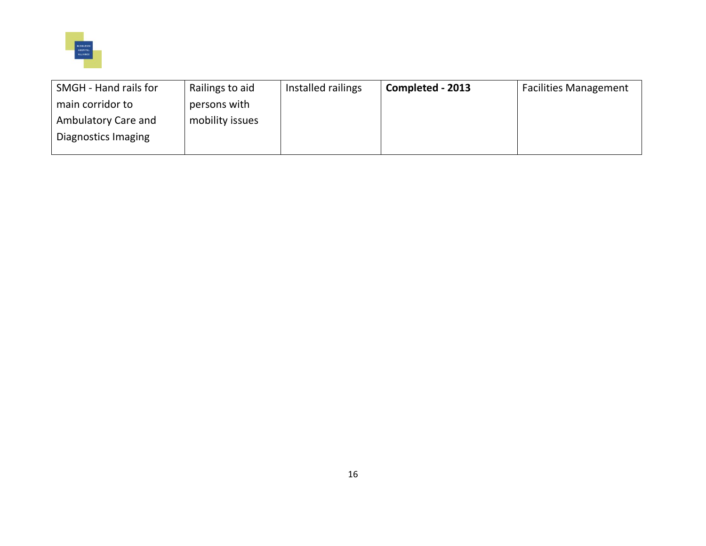

| SMGH - Hand rails for | Railings to aid | Installed railings | Completed - 2013 | <b>Facilities Management</b> |
|-----------------------|-----------------|--------------------|------------------|------------------------------|
| main corridor to      | persons with    |                    |                  |                              |
| Ambulatory Care and   | mobility issues |                    |                  |                              |
| Diagnostics Imaging   |                 |                    |                  |                              |
|                       |                 |                    |                  |                              |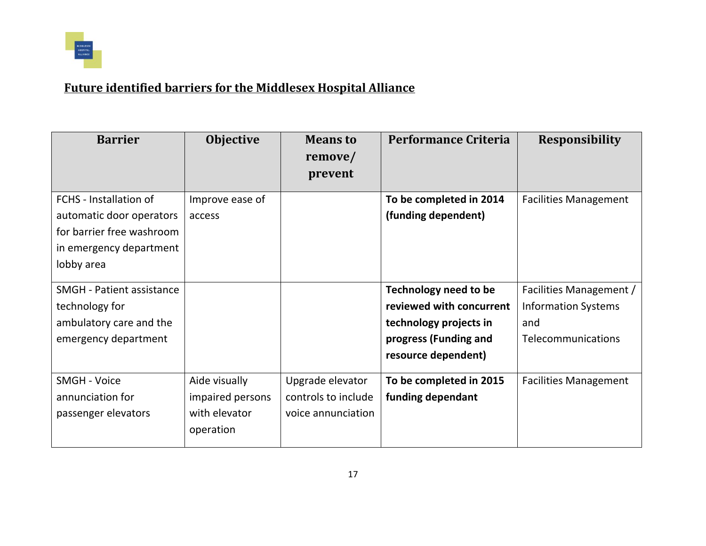

## **Future identified barriers for the Middlesex Hospital Alliance**

| <b>Barrier</b>                                                                                                                  | <b>Objective</b>                                                | <b>Means to</b><br>remove/<br>prevent                         | <b>Performance Criteria</b>                                                                                                        | <b>Responsibility</b>                                                              |
|---------------------------------------------------------------------------------------------------------------------------------|-----------------------------------------------------------------|---------------------------------------------------------------|------------------------------------------------------------------------------------------------------------------------------------|------------------------------------------------------------------------------------|
| <b>FCHS</b> - Installation of<br>automatic door operators<br>for barrier free washroom<br>in emergency department<br>lobby area | Improve ease of<br>access                                       |                                                               | To be completed in 2014<br>(funding dependent)                                                                                     | <b>Facilities Management</b>                                                       |
| <b>SMGH</b> - Patient assistance<br>technology for<br>ambulatory care and the<br>emergency department                           |                                                                 |                                                               | <b>Technology need to be</b><br>reviewed with concurrent<br>technology projects in<br>progress (Funding and<br>resource dependent) | Facilities Management /<br><b>Information Systems</b><br>and<br>Telecommunications |
| <b>SMGH - Voice</b><br>annunciation for<br>passenger elevators                                                                  | Aide visually<br>impaired persons<br>with elevator<br>operation | Upgrade elevator<br>controls to include<br>voice annunciation | To be completed in 2015<br>funding dependant                                                                                       | <b>Facilities Management</b>                                                       |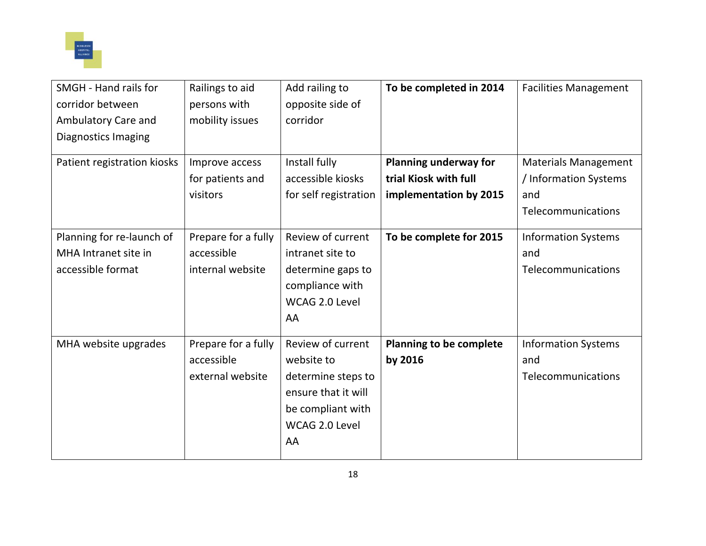

| SMGH - Hand rails for       | Railings to aid     | Add railing to        | To be completed in 2014        | <b>Facilities Management</b> |
|-----------------------------|---------------------|-----------------------|--------------------------------|------------------------------|
| corridor between            | persons with        | opposite side of      |                                |                              |
| Ambulatory Care and         | mobility issues     | corridor              |                                |                              |
| Diagnostics Imaging         |                     |                       |                                |                              |
|                             |                     |                       |                                |                              |
| Patient registration kiosks | Improve access      | Install fully         | <b>Planning underway for</b>   | <b>Materials Management</b>  |
|                             | for patients and    | accessible kiosks     | trial Kiosk with full          | / Information Systems        |
|                             | visitors            | for self registration | implementation by 2015         | and                          |
|                             |                     |                       |                                | Telecommunications           |
| Planning for re-launch of   | Prepare for a fully | Review of current     | To be complete for 2015        | <b>Information Systems</b>   |
| MHA Intranet site in        | accessible          | intranet site to      |                                | and                          |
| accessible format           | internal website    | determine gaps to     |                                | Telecommunications           |
|                             |                     | compliance with       |                                |                              |
|                             |                     | WCAG 2.0 Level        |                                |                              |
|                             |                     | AA                    |                                |                              |
|                             |                     |                       |                                |                              |
| MHA website upgrades        | Prepare for a fully | Review of current     | <b>Planning to be complete</b> | <b>Information Systems</b>   |
|                             | accessible          | website to            | by 2016                        | and                          |
|                             | external website    | determine steps to    |                                | Telecommunications           |
|                             |                     | ensure that it will   |                                |                              |
|                             |                     | be compliant with     |                                |                              |
|                             |                     | WCAG 2.0 Level        |                                |                              |
|                             |                     | AA                    |                                |                              |
|                             |                     |                       |                                |                              |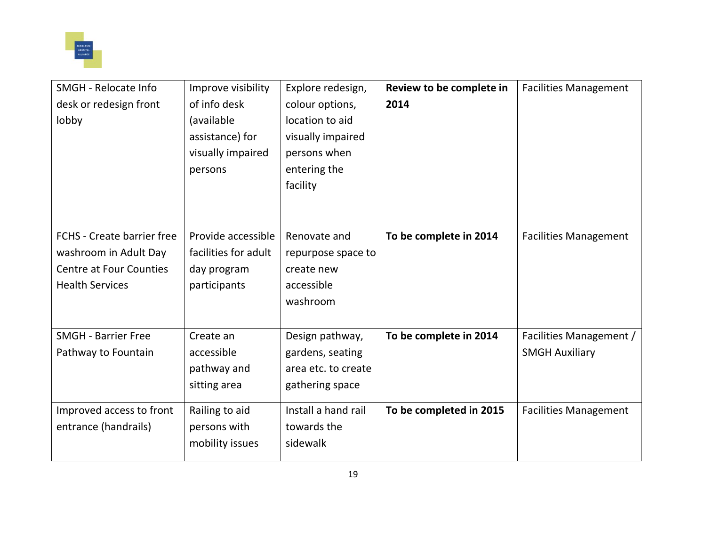

| <b>SMGH</b> - Relocate Info    | Improve visibility   | Explore redesign,   | Review to be complete in | <b>Facilities Management</b> |
|--------------------------------|----------------------|---------------------|--------------------------|------------------------------|
| desk or redesign front         | of info desk         | colour options,     | 2014                     |                              |
| lobby                          | (available           | location to aid     |                          |                              |
|                                | assistance) for      | visually impaired   |                          |                              |
|                                | visually impaired    | persons when        |                          |                              |
|                                | persons              | entering the        |                          |                              |
|                                |                      | facility            |                          |                              |
|                                |                      |                     |                          |                              |
|                                |                      |                     |                          |                              |
| FCHS - Create barrier free     | Provide accessible   | Renovate and        | To be complete in 2014   | <b>Facilities Management</b> |
| washroom in Adult Day          | facilities for adult | repurpose space to  |                          |                              |
| <b>Centre at Four Counties</b> | day program          | create new          |                          |                              |
| <b>Health Services</b>         | participants         | accessible          |                          |                              |
|                                |                      | washroom            |                          |                              |
|                                |                      |                     |                          |                              |
| <b>SMGH - Barrier Free</b>     | Create an            | Design pathway,     | To be complete in 2014   | Facilities Management /      |
| Pathway to Fountain            | accessible           | gardens, seating    |                          | <b>SMGH Auxiliary</b>        |
|                                | pathway and          | area etc. to create |                          |                              |
|                                | sitting area         | gathering space     |                          |                              |
|                                |                      | Install a hand rail | To be completed in 2015  | <b>Facilities Management</b> |
| Improved access to front       | Railing to aid       | towards the         |                          |                              |
| entrance (handrails)           | persons with         | sidewalk            |                          |                              |
|                                | mobility issues      |                     |                          |                              |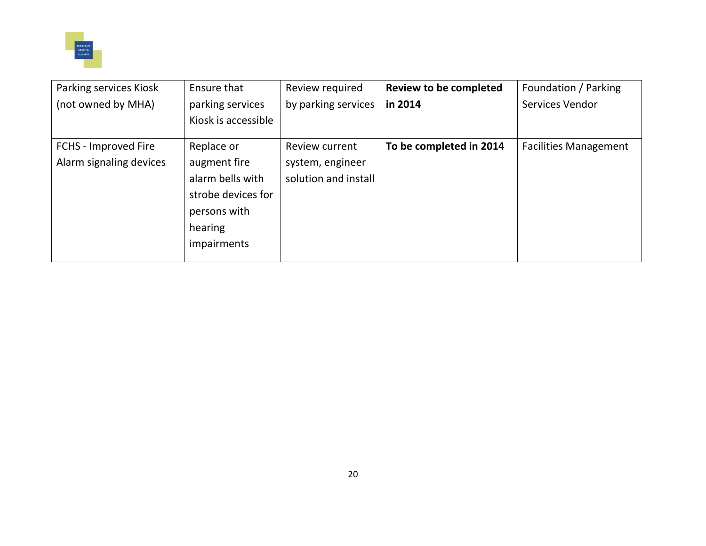

| Parking services Kiosk  | Ensure that         | Review required      | <b>Review to be completed</b> | Foundation / Parking         |
|-------------------------|---------------------|----------------------|-------------------------------|------------------------------|
| (not owned by MHA)      | parking services    | by parking services  | in 2014                       | <b>Services Vendor</b>       |
|                         | Kiosk is accessible |                      |                               |                              |
| FCHS - Improved Fire    | Replace or          | Review current       | To be completed in 2014       | <b>Facilities Management</b> |
| Alarm signaling devices | augment fire        | system, engineer     |                               |                              |
|                         | alarm bells with    | solution and install |                               |                              |
|                         | strobe devices for  |                      |                               |                              |
|                         | persons with        |                      |                               |                              |
|                         | hearing             |                      |                               |                              |
|                         | impairments         |                      |                               |                              |
|                         |                     |                      |                               |                              |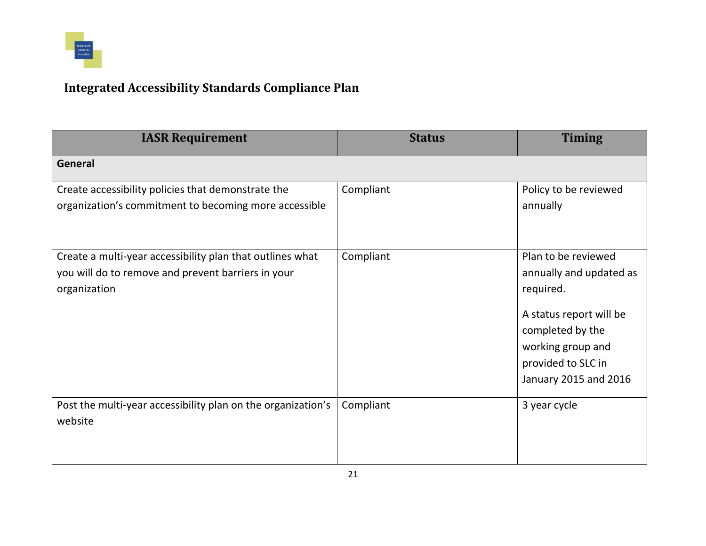

## **Integrated Accessibility Standards Compliance Plan**

| <b>IASR Requirement</b>                                                                                                         | <b>Status</b> | <b>Timing</b>                                                                                                                                                                  |
|---------------------------------------------------------------------------------------------------------------------------------|---------------|--------------------------------------------------------------------------------------------------------------------------------------------------------------------------------|
| <b>General</b>                                                                                                                  |               |                                                                                                                                                                                |
| Create accessibility policies that demonstrate the<br>organization's commitment to becoming more accessible                     | Compliant     | Policy to be reviewed<br>annually                                                                                                                                              |
| Create a multi-year accessibility plan that outlines what<br>you will do to remove and prevent barriers in your<br>organization | Compliant     | Plan to be reviewed<br>annually and updated as<br>required.<br>A status report will be<br>completed by the<br>working group and<br>provided to SLC in<br>January 2015 and 2016 |
| Post the multi-year accessibility plan on the organization's<br>website                                                         | Compliant     | 3 year cycle                                                                                                                                                                   |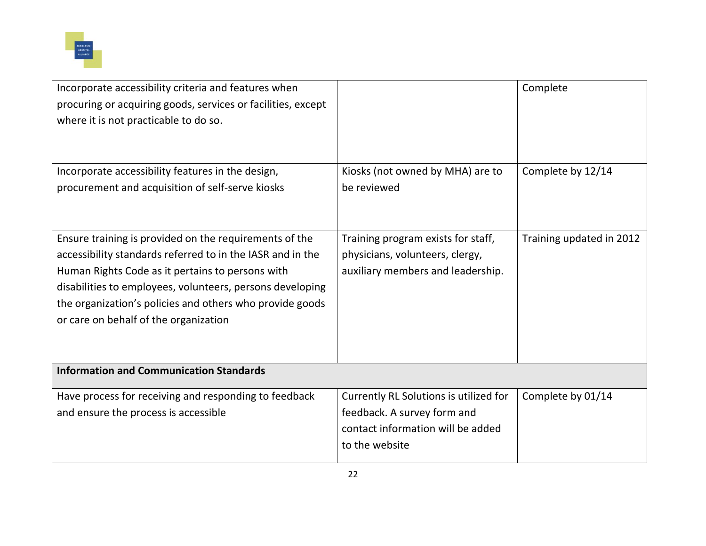

| Incorporate accessibility criteria and features when<br>procuring or acquiring goods, services or facilities, except<br>where it is not practicable to do so.                                                                                                                                                                              |                                                                                                                              | Complete                 |
|--------------------------------------------------------------------------------------------------------------------------------------------------------------------------------------------------------------------------------------------------------------------------------------------------------------------------------------------|------------------------------------------------------------------------------------------------------------------------------|--------------------------|
| Incorporate accessibility features in the design,<br>procurement and acquisition of self-serve kiosks                                                                                                                                                                                                                                      | Kiosks (not owned by MHA) are to<br>be reviewed                                                                              | Complete by 12/14        |
| Ensure training is provided on the requirements of the<br>accessibility standards referred to in the IASR and in the<br>Human Rights Code as it pertains to persons with<br>disabilities to employees, volunteers, persons developing<br>the organization's policies and others who provide goods<br>or care on behalf of the organization | Training program exists for staff,<br>physicians, volunteers, clergy,<br>auxiliary members and leadership.                   | Training updated in 2012 |
| <b>Information and Communication Standards</b>                                                                                                                                                                                                                                                                                             |                                                                                                                              |                          |
| Have process for receiving and responding to feedback<br>and ensure the process is accessible                                                                                                                                                                                                                                              | Currently RL Solutions is utilized for<br>feedback. A survey form and<br>contact information will be added<br>to the website | Complete by 01/14        |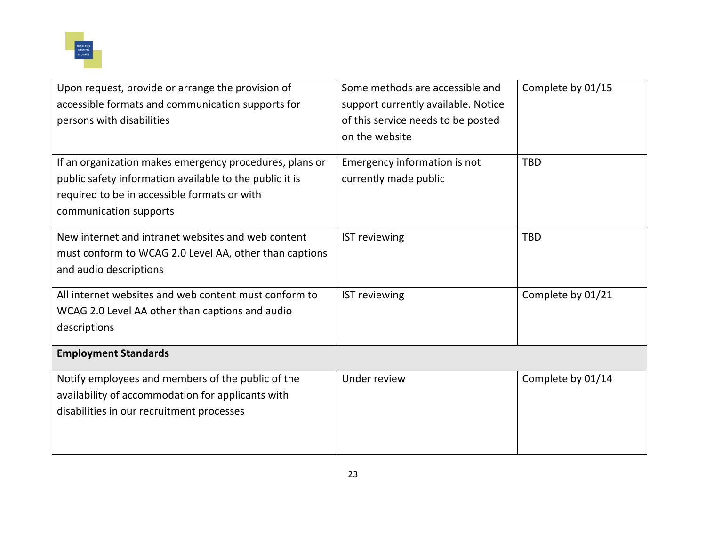

| Upon request, provide or arrange the provision of       | Some methods are accessible and     | Complete by 01/15 |
|---------------------------------------------------------|-------------------------------------|-------------------|
| accessible formats and communication supports for       | support currently available. Notice |                   |
| persons with disabilities                               | of this service needs to be posted  |                   |
|                                                         | on the website                      |                   |
|                                                         |                                     |                   |
| If an organization makes emergency procedures, plans or | Emergency information is not        | <b>TBD</b>        |
| public safety information available to the public it is | currently made public               |                   |
| required to be in accessible formats or with            |                                     |                   |
| communication supports                                  |                                     |                   |
|                                                         |                                     |                   |
| New internet and intranet websites and web content      | <b>IST reviewing</b>                | <b>TBD</b>        |
| must conform to WCAG 2.0 Level AA, other than captions  |                                     |                   |
| and audio descriptions                                  |                                     |                   |
|                                                         |                                     |                   |
| All internet websites and web content must conform to   | <b>IST reviewing</b>                | Complete by 01/21 |
| WCAG 2.0 Level AA other than captions and audio         |                                     |                   |
| descriptions                                            |                                     |                   |
| <b>Employment Standards</b>                             |                                     |                   |
|                                                         |                                     |                   |
| Notify employees and members of the public of the       | Under review                        | Complete by 01/14 |
| availability of accommodation for applicants with       |                                     |                   |
| disabilities in our recruitment processes               |                                     |                   |
|                                                         |                                     |                   |
|                                                         |                                     |                   |
|                                                         |                                     |                   |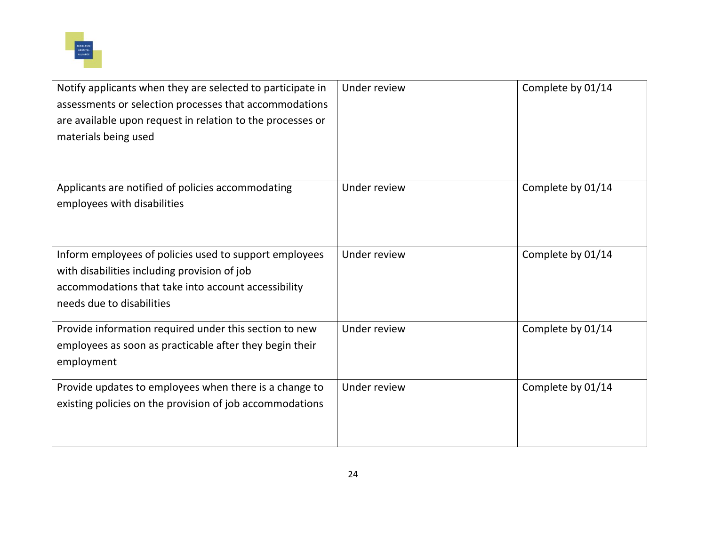

| Notify applicants when they are selected to participate in<br>assessments or selection processes that accommodations<br>are available upon request in relation to the processes or<br>materials being used | Under review | Complete by 01/14 |
|------------------------------------------------------------------------------------------------------------------------------------------------------------------------------------------------------------|--------------|-------------------|
| Applicants are notified of policies accommodating<br>employees with disabilities                                                                                                                           | Under review | Complete by 01/14 |
| Inform employees of policies used to support employees<br>with disabilities including provision of job<br>accommodations that take into account accessibility<br>needs due to disabilities                 | Under review | Complete by 01/14 |
| Provide information required under this section to new<br>employees as soon as practicable after they begin their<br>employment                                                                            | Under review | Complete by 01/14 |
| Provide updates to employees when there is a change to<br>existing policies on the provision of job accommodations                                                                                         | Under review | Complete by 01/14 |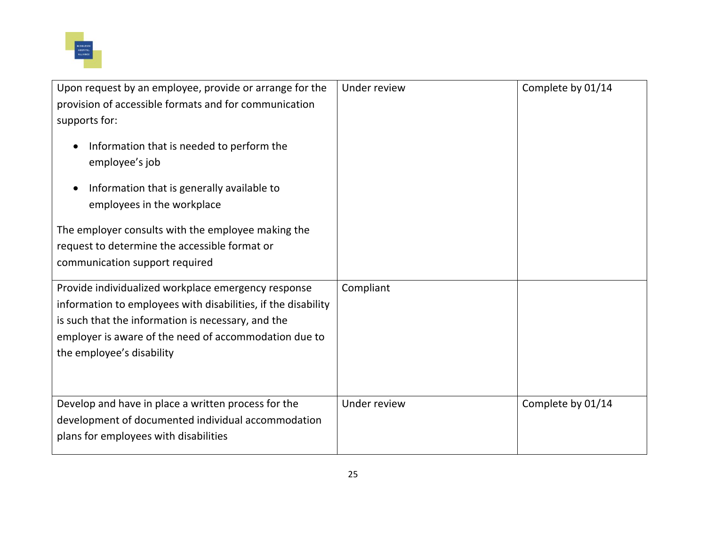

| Upon request by an employee, provide or arrange for the                                                                                 | Under review | Complete by 01/14 |
|-----------------------------------------------------------------------------------------------------------------------------------------|--------------|-------------------|
|                                                                                                                                         |              |                   |
| provision of accessible formats and for communication                                                                                   |              |                   |
| supports for:                                                                                                                           |              |                   |
| Information that is needed to perform the<br>employee's job<br>Information that is generally available to<br>employees in the workplace |              |                   |
| The employer consults with the employee making the                                                                                      |              |                   |
| request to determine the accessible format or                                                                                           |              |                   |
| communication support required                                                                                                          |              |                   |
|                                                                                                                                         |              |                   |
| Provide individualized workplace emergency response                                                                                     | Compliant    |                   |
| information to employees with disabilities, if the disability                                                                           |              |                   |
| is such that the information is necessary, and the                                                                                      |              |                   |
| employer is aware of the need of accommodation due to                                                                                   |              |                   |
| the employee's disability                                                                                                               |              |                   |
|                                                                                                                                         |              |                   |
| Develop and have in place a written process for the                                                                                     | Under review | Complete by 01/14 |
| development of documented individual accommodation                                                                                      |              |                   |
| plans for employees with disabilities                                                                                                   |              |                   |
|                                                                                                                                         |              |                   |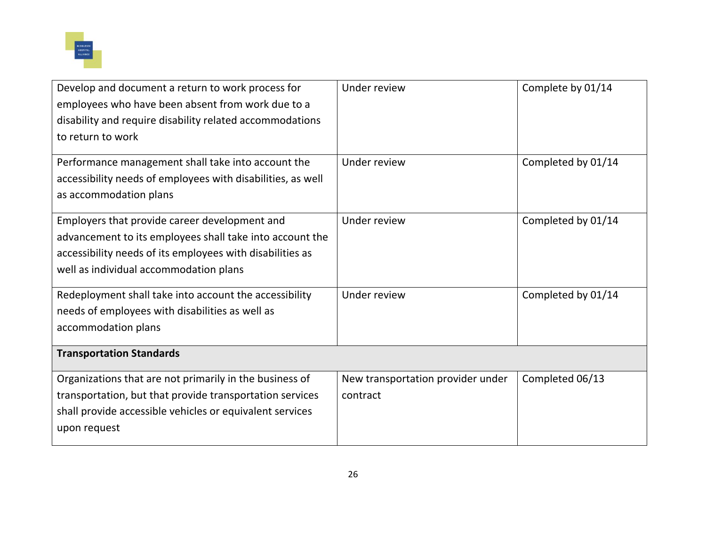

| Develop and document a return to work process for           | Under review                      | Complete by 01/14  |
|-------------------------------------------------------------|-----------------------------------|--------------------|
| employees who have been absent from work due to a           |                                   |                    |
| disability and require disability related accommodations    |                                   |                    |
| to return to work                                           |                                   |                    |
| Performance management shall take into account the          | Under review                      | Completed by 01/14 |
| accessibility needs of employees with disabilities, as well |                                   |                    |
| as accommodation plans                                      |                                   |                    |
| Employers that provide career development and               | Under review                      | Completed by 01/14 |
| advancement to its employees shall take into account the    |                                   |                    |
| accessibility needs of its employees with disabilities as   |                                   |                    |
| well as individual accommodation plans                      |                                   |                    |
| Redeployment shall take into account the accessibility      | Under review                      | Completed by 01/14 |
| needs of employees with disabilities as well as             |                                   |                    |
| accommodation plans                                         |                                   |                    |
| <b>Transportation Standards</b>                             |                                   |                    |
| Organizations that are not primarily in the business of     | New transportation provider under | Completed 06/13    |
| transportation, but that provide transportation services    | contract                          |                    |
| shall provide accessible vehicles or equivalent services    |                                   |                    |
| upon request                                                |                                   |                    |
|                                                             |                                   |                    |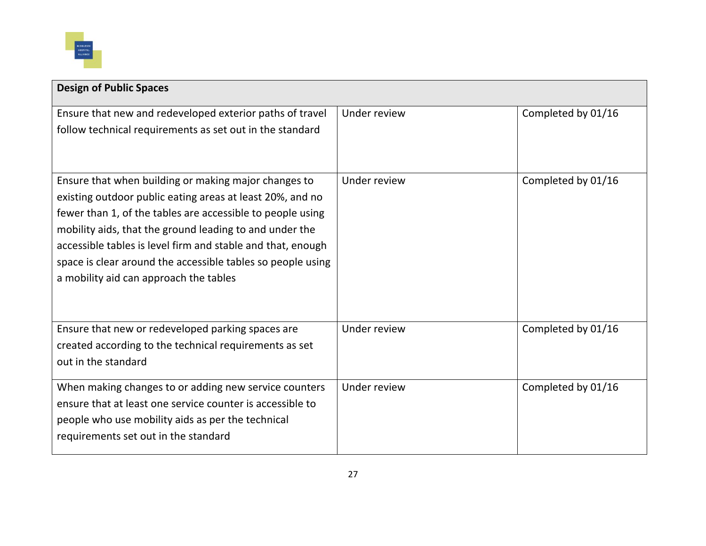

| <b>Design of Public Spaces</b>                                                                                                                                                                                                                                                                                                                                                                                     |              |                    |
|--------------------------------------------------------------------------------------------------------------------------------------------------------------------------------------------------------------------------------------------------------------------------------------------------------------------------------------------------------------------------------------------------------------------|--------------|--------------------|
| Ensure that new and redeveloped exterior paths of travel                                                                                                                                                                                                                                                                                                                                                           | Under review | Completed by 01/16 |
| follow technical requirements as set out in the standard                                                                                                                                                                                                                                                                                                                                                           |              |                    |
| Ensure that when building or making major changes to<br>existing outdoor public eating areas at least 20%, and no<br>fewer than 1, of the tables are accessible to people using<br>mobility aids, that the ground leading to and under the<br>accessible tables is level firm and stable and that, enough<br>space is clear around the accessible tables so people using<br>a mobility aid can approach the tables | Under review | Completed by 01/16 |
| Ensure that new or redeveloped parking spaces are<br>created according to the technical requirements as set<br>out in the standard                                                                                                                                                                                                                                                                                 | Under review | Completed by 01/16 |
| When making changes to or adding new service counters<br>ensure that at least one service counter is accessible to<br>people who use mobility aids as per the technical<br>requirements set out in the standard                                                                                                                                                                                                    | Under review | Completed by 01/16 |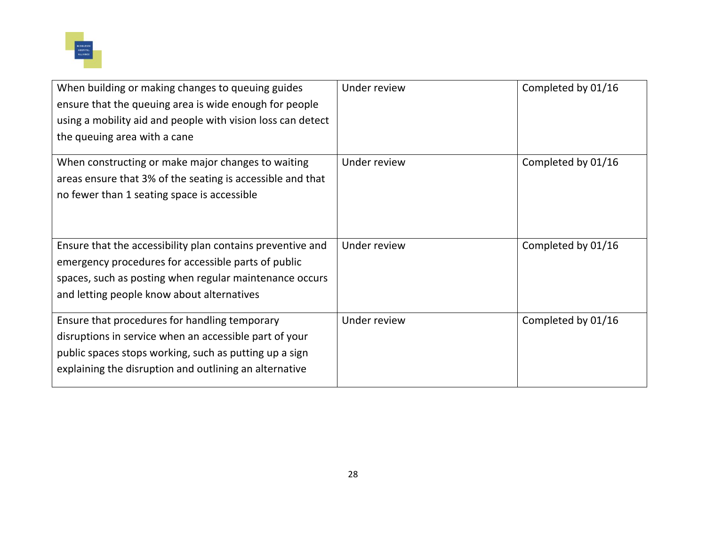

| When building or making changes to queuing guides<br>ensure that the queuing area is wide enough for people<br>using a mobility aid and people with vision loss can detect<br>the queuing area with a cane                  | Under review | Completed by 01/16 |
|-----------------------------------------------------------------------------------------------------------------------------------------------------------------------------------------------------------------------------|--------------|--------------------|
| When constructing or make major changes to waiting<br>areas ensure that 3% of the seating is accessible and that<br>no fewer than 1 seating space is accessible                                                             | Under review | Completed by 01/16 |
| Ensure that the accessibility plan contains preventive and<br>emergency procedures for accessible parts of public<br>spaces, such as posting when regular maintenance occurs<br>and letting people know about alternatives  | Under review | Completed by 01/16 |
| Ensure that procedures for handling temporary<br>disruptions in service when an accessible part of your<br>public spaces stops working, such as putting up a sign<br>explaining the disruption and outlining an alternative | Under review | Completed by 01/16 |